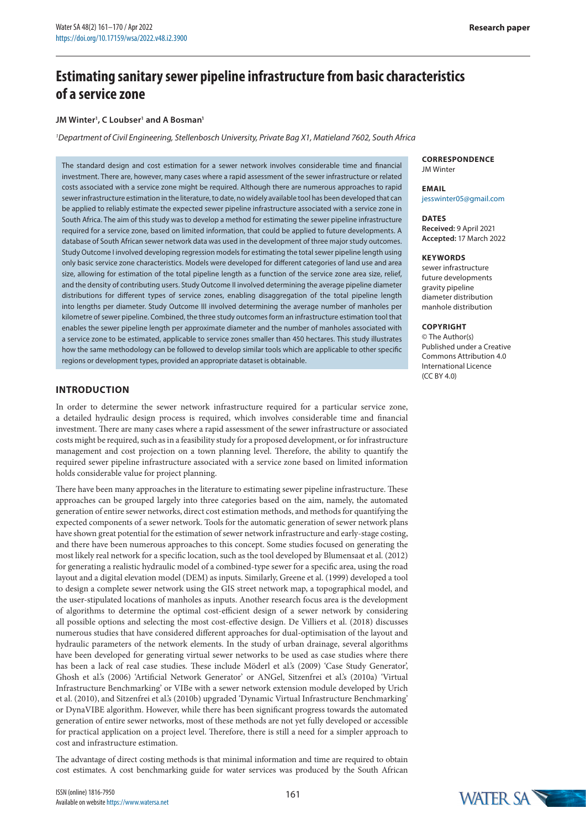# **Estimating sanitary sewer pipeline infrastructure from basic characteristics of a service zone**

## **JM Winter1 , C Loubser1 and A Bosman1**

*1 Department of Civil Engineering, Stellenbosch University, Private Bag X1, Matieland 7602, South Africa*

The standard design and cost estimation for a sewer network involves considerable time and financial investment. There are, however, many cases where a rapid assessment of the sewer infrastructure or related costs associated with a service zone might be required. Although there are numerous approaches to rapid sewer infrastructure estimation in the literature, to date, no widely available tool has been developed that can be applied to reliably estimate the expected sewer pipeline infrastructure associated with a service zone in South Africa. The aim of this study was to develop a method for estimating the sewer pipeline infrastructure required for a service zone, based on limited information, that could be applied to future developments. A database of South African sewer network data was used in the development of three major study outcomes. Study Outcome I involved developing regression models for estimating the total sewer pipeline length using only basic service zone characteristics. Models were developed for different categories of land use and area size, allowing for estimation of the total pipeline length as a function of the service zone area size, relief, and the density of contributing users. Study Outcome II involved determining the average pipeline diameter distributions for different types of service zones, enabling disaggregation of the total pipeline length into lengths per diameter. Study Outcome III involved determining the average number of manholes per kilometre of sewer pipeline. Combined, the three study outcomes form an infrastructure estimation tool that enables the sewer pipeline length per approximate diameter and the number of manholes associated with a service zone to be estimated, applicable to service zones smaller than 450 hectares. This study illustrates how the same methodology can be followed to develop similar tools which are applicable to other specific regions or development types, provided an appropriate dataset is obtainable.

# **INTRODUCTION**

In order to determine the sewer network infrastructure required for a particular service zone, a detailed hydraulic design process is required, which involves considerable time and financial investment. There are many cases where a rapid assessment of the sewer infrastructure or associated costs might be required, such as in a feasibility study for a proposed development, or for infrastructure management and cost projection on a town planning level. Therefore, the ability to quantify the required sewer pipeline infrastructure associated with a service zone based on limited information holds considerable value for project planning.

There have been many approaches in the literature to estimating sewer pipeline infrastructure. These approaches can be grouped largely into three categories based on the aim, namely, the automated generation of entire sewer networks, direct cost estimation methods, and methods for quantifying the expected components of a sewer network. Tools for the automatic generation of sewer network plans have shown great potential for the estimation of sewer network infrastructure and early-stage costing, and there have been numerous approaches to this concept. Some studies focused on generating the most likely real network for a specific location, such as the tool developed by Blumensaat et al. (2012) for generating a realistic hydraulic model of a combined-type sewer for a specific area, using the road layout and a digital elevation model (DEM) as inputs. Similarly, Greene et al. (1999) developed a tool to design a complete sewer network using the GIS street network map, a topographical model, and the user-stipulated locations of manholes as inputs. Another research focus area is the development of algorithms to determine the optimal cost-efficient design of a sewer network by considering all possible options and selecting the most cost-effective design. De Villiers et al. (2018) discusses numerous studies that have considered different approaches for dual-optimisation of the layout and hydraulic parameters of the network elements. In the study of urban drainage, several algorithms have been developed for generating virtual sewer networks to be used as case studies where there has been a lack of real case studies. These include Möderl et al.'s (2009) 'Case Study Generator', Ghosh et al.'s (2006) 'Artificial Network Generator' or ANGel, Sitzenfrei et al.'s (2010a) 'Virtual Infrastructure Benchmarking' or VIBe with a sewer network extension module developed by Urich et al. (2010), and Sitzenfrei et al.'s (2010b) upgraded 'Dynamic Virtual Infrastructure Benchmarking' or DynaVIBE algorithm. However, while there has been significant progress towards the automated generation of entire sewer networks, most of these methods are not yet fully developed or accessible for practical application on a project level. Therefore, there is still a need for a simpler approach to cost and infrastructure estimation.

The advantage of direct costing methods is that minimal information and time are required to obtain cost estimates. A cost benchmarking guide for water services was produced by the South African

#### **CORRESPONDENCE** JM Winter

# **EMAIL**

jesswinter05@gmail.com

**DATES Received:** 9 April 2021 **Accepted:** 17 March 2022

#### **KEYWORDS**

sewer infrastructure future developments gravity pipeline diameter distribution manhole distribution

## **COPYRIGHT**

© The Author(s) Published under a [Creative](https://creativecommons.org/licenses/by/4.0/)  [Commons Attribution 4.0](https://creativecommons.org/licenses/by/4.0/) [International Licence](https://creativecommons.org/licenses/by/4.0/)  $(CCRY 40)$ 

WATER SA

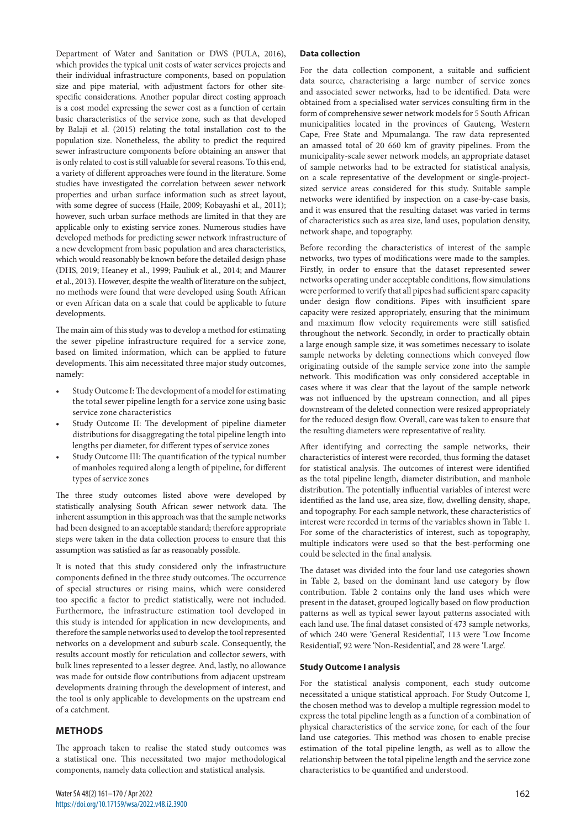Department of Water and Sanitation or DWS (PULA, 2016), which provides the typical unit costs of water services projects and their individual infrastructure components, based on population size and pipe material, with adjustment factors for other sitespecific considerations. Another popular direct costing approach is a cost model expressing the sewer cost as a function of certain basic characteristics of the service zone, such as that developed by Balaji et al. (2015) relating the total installation cost to the population size. Nonetheless, the ability to predict the required sewer infrastructure components before obtaining an answer that is only related to cost is still valuable for several reasons. To this end, a variety of different approaches were found in the literature. Some studies have investigated the correlation between sewer network properties and urban surface information such as street layout, with some degree of success (Haile, 2009; Kobayashi et al., 2011); however, such urban surface methods are limited in that they are applicable only to existing service zones. Numerous studies have developed methods for predicting sewer network infrastructure of a new development from basic population and area characteristics, which would reasonably be known before the detailed design phase (DHS, 2019; Heaney et al., 1999; Pauliuk et al., 2014; and Maurer et al., 2013). However, despite the wealth of literature on the subject, no methods were found that were developed using South African or even African data on a scale that could be applicable to future developments.

The main aim of this study was to develop a method for estimating the sewer pipeline infrastructure required for a service zone, based on limited information, which can be applied to future developments. This aim necessitated three major study outcomes, namely:

- Study Outcome I: The development of a model for estimating the total sewer pipeline length for a service zone using basic service zone characteristics
- Study Outcome II: The development of pipeline diameter distributions for disaggregating the total pipeline length into lengths per diameter, for different types of service zones
- Study Outcome III: The quantification of the typical number of manholes required along a length of pipeline, for different types of service zones

The three study outcomes listed above were developed by statistically analysing South African sewer network data. The inherent assumption in this approach was that the sample networks had been designed to an acceptable standard; therefore appropriate steps were taken in the data collection process to ensure that this assumption was satisfied as far as reasonably possible.

It is noted that this study considered only the infrastructure components defined in the three study outcomes. The occurrence of special structures or rising mains, which were considered too specific a factor to predict statistically, were not included. Furthermore, the infrastructure estimation tool developed in this study is intended for application in new developments, and therefore the sample networks used to develop the tool represented networks on a development and suburb scale. Consequently, the results account mostly for reticulation and collector sewers, with bulk lines represented to a lesser degree. And, lastly, no allowance was made for outside flow contributions from adjacent upstream developments draining through the development of interest, and the tool is only applicable to developments on the upstream end of a catchment.

# **METHODS**

The approach taken to realise the stated study outcomes was a statistical one. This necessitated two major methodological components, namely data collection and statistical analysis.

## **Data collection**

For the data collection component, a suitable and sufficient data source, characterising a large number of service zones and associated sewer networks, had to be identified. Data were obtained from a specialised water services consulting firm in the form of comprehensive sewer network models for 5 South African municipalities located in the provinces of Gauteng, Western Cape, Free State and Mpumalanga. The raw data represented an amassed total of 20 660 km of gravity pipelines. From the municipality-scale sewer network models, an appropriate dataset of sample networks had to be extracted for statistical analysis, on a scale representative of the development or single-projectsized service areas considered for this study. Suitable sample networks were identified by inspection on a case-by-case basis, and it was ensured that the resulting dataset was varied in terms of characteristics such as area size, land uses, population density, network shape, and topography.

Before recording the characteristics of interest of the sample networks, two types of modifications were made to the samples. Firstly, in order to ensure that the dataset represented sewer networks operating under acceptable conditions, flow simulations were performed to verify that all pipes had sufficient spare capacity under design flow conditions. Pipes with insufficient spare capacity were resized appropriately, ensuring that the minimum and maximum flow velocity requirements were still satisfied throughout the network. Secondly, in order to practically obtain a large enough sample size, it was sometimes necessary to isolate sample networks by deleting connections which conveyed flow originating outside of the sample service zone into the sample network. This modification was only considered acceptable in cases where it was clear that the layout of the sample network was not influenced by the upstream connection, and all pipes downstream of the deleted connection were resized appropriately for the reduced design flow. Overall, care was taken to ensure that the resulting diameters were representative of reality.

After identifying and correcting the sample networks, their characteristics of interest were recorded, thus forming the dataset for statistical analysis. The outcomes of interest were identified as the total pipeline length, diameter distribution, and manhole distribution. The potentially influential variables of interest were identified as the land use, area size, flow, dwelling density, shape, and topography. For each sample network, these characteristics of interest were recorded in terms of the variables shown in Table 1. For some of the characteristics of interest, such as topography, multiple indicators were used so that the best-performing one could be selected in the final analysis.

The dataset was divided into the four land use categories shown in Table 2, based on the dominant land use category by flow contribution. Table 2 contains only the land uses which were present in the dataset, grouped logically based on flow production patterns as well as typical sewer layout patterns associated with each land use. The final dataset consisted of 473 sample networks, of which 240 were 'General Residential', 113 were 'Low Income Residential', 92 were 'Non-Residential', and 28 were 'Large'.

#### **Study Outcome I analysis**

For the statistical analysis component, each study outcome necessitated a unique statistical approach. For Study Outcome I, the chosen method was to develop a multiple regression model to express the total pipeline length as a function of a combination of physical characteristics of the service zone, for each of the four land use categories. This method was chosen to enable precise estimation of the total pipeline length, as well as to allow the relationship between the total pipeline length and the service zone characteristics to be quantified and understood.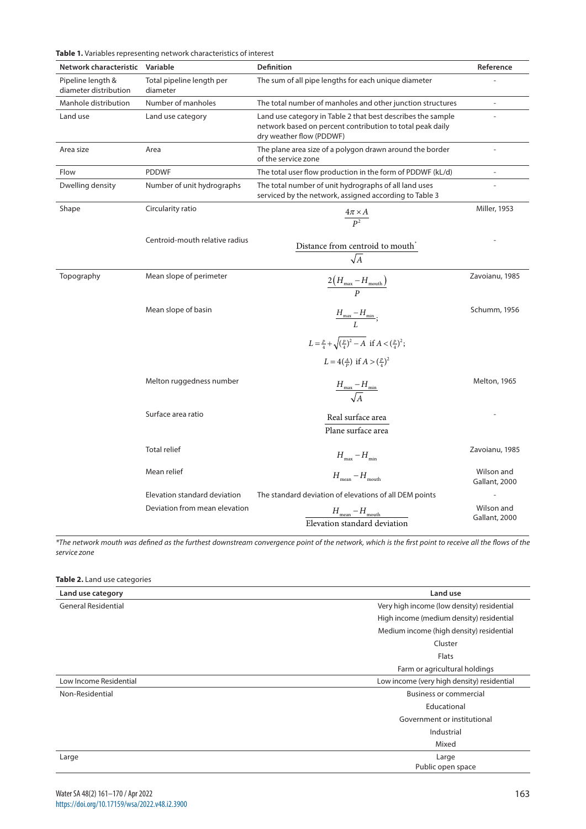|                                            | <b>Table 1.</b> Variables representing network characteristics of interest |                                                                                                                                                      |                             |
|--------------------------------------------|----------------------------------------------------------------------------|------------------------------------------------------------------------------------------------------------------------------------------------------|-----------------------------|
| Network characteristic                     | Variable                                                                   | <b>Definition</b>                                                                                                                                    | Reference                   |
| Pipeline length &<br>diameter distribution | Total pipeline length per<br>diameter                                      | The sum of all pipe lengths for each unique diameter                                                                                                 |                             |
| Manhole distribution                       | Number of manholes                                                         | The total number of manholes and other junction structures                                                                                           | $\overline{a}$              |
| Land use                                   | Land use category                                                          | Land use category in Table 2 that best describes the sample<br>network based on percent contribution to total peak daily<br>dry weather flow (PDDWF) |                             |
| Area size                                  | Area                                                                       | The plane area size of a polygon drawn around the border<br>of the service zone                                                                      |                             |
| Flow                                       | <b>PDDWF</b>                                                               | The total user flow production in the form of PDDWF (kL/d)                                                                                           | $\overline{\phantom{a}}$    |
| Dwelling density                           | Number of unit hydrographs                                                 | The total number of unit hydrographs of all land uses<br>serviced by the network, assigned according to Table 3                                      |                             |
| Shape                                      | Circularity ratio                                                          | $\frac{4\pi\times A}{p^2}$                                                                                                                           | Miller, 1953                |
|                                            | Centroid-mouth relative radius                                             | Distance from centroid to mouth<br>$\sqrt{A}$                                                                                                        |                             |
| Topography                                 | Mean slope of perimeter                                                    | $\frac{2\left(H_{\text{max}}-H_{\text{mouth}}\right)}{D}$                                                                                            | Zavoianu, 1985              |
|                                            | Mean slope of basin                                                        | $\frac{H_{\text{max}} - H_{\text{min}}}{I};$                                                                                                         | Schumm, 1956                |
|                                            |                                                                            | $L = \frac{p}{4} + \sqrt{(\frac{p}{4})^2 - A}$ if $A < (\frac{p}{4})^2$ ;<br>$L = 4(\frac{A}{p})$ if $A > (\frac{p}{4})^2$                           |                             |
|                                            | Melton ruggedness number                                                   | $\frac{H_{\text{max}} - H_{\text{min}}}{\sqrt{4}}$                                                                                                   | Melton, 1965                |
|                                            | Surface area ratio                                                         | Real surface area<br>Plane surface area                                                                                                              |                             |
|                                            | <b>Total relief</b>                                                        | $H_{\text{max}} - H_{\text{min}}$                                                                                                                    | Zavoianu, 1985              |
|                                            | Mean relief                                                                | $H_{\text{mean}} - H_{\text{mouth}}$                                                                                                                 | Wilson and<br>Gallant, 2000 |
|                                            | Elevation standard deviation                                               | The standard deviation of elevations of all DEM points                                                                                               |                             |
|                                            | Deviation from mean elevation                                              | $H_{\rm mean}-H_{\rm mouth}$<br>Elevation standard deviation                                                                                         | Wilson and<br>Gallant, 2000 |

*\*The network mouth was defined as the furthest downstream convergence point of the network, which is the first point to receive all the flows of the service zone*

| Table 2. Land use categories |                                            |
|------------------------------|--------------------------------------------|
| Land use category            | Land use                                   |
| <b>General Residential</b>   | Very high income (low density) residential |
|                              | High income (medium density) residential   |
|                              | Medium income (high density) residential   |
|                              | Cluster                                    |
|                              | Flats                                      |
|                              | Farm or agricultural holdings              |
| Low Income Residential       | Low income (very high density) residential |
| Non-Residential              | <b>Business or commercial</b>              |
|                              | Educational                                |
|                              | Government or institutional                |
|                              | Industrial                                 |
|                              | Mixed                                      |
| Large                        | Large                                      |
|                              | Public open space                          |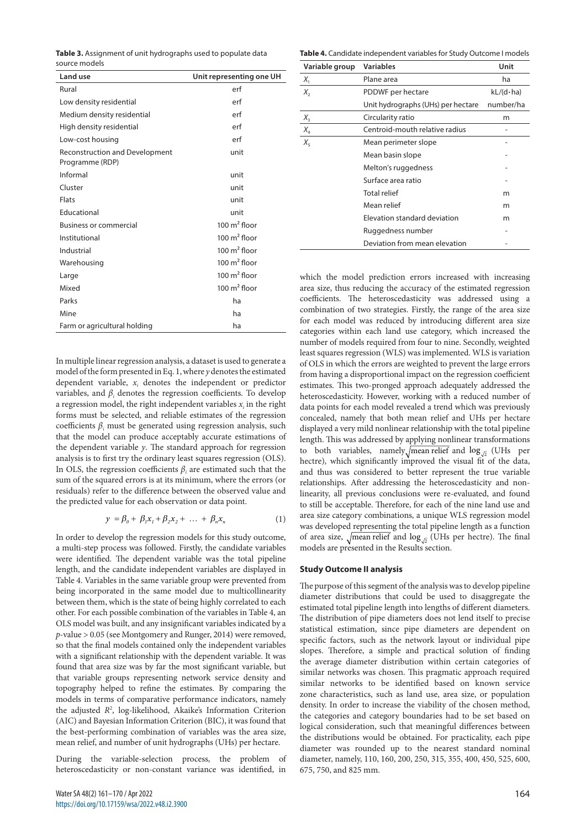**Table 3.** Assignment of unit hydrographs used to populate data source models

| Land use                                                 | Unit representing one UH |
|----------------------------------------------------------|--------------------------|
| Rural                                                    | erf                      |
| Low density residential                                  | erf                      |
| Medium density residential                               | erf                      |
| High density residential                                 | erf                      |
| Low-cost housing                                         | erf                      |
| <b>Reconstruction and Development</b><br>Programme (RDP) | unit                     |
| Informal                                                 | unit                     |
| Cluster                                                  | unit                     |
| <b>Flats</b>                                             | unit                     |
| Educational                                              | unit                     |
| <b>Business or commercial</b>                            | 100 $m2$ floor           |
| Institutional                                            | 100 $m2$ floor           |
| Industrial                                               | $100 \text{ m}^2$ floor  |
| Warehousing                                              | 100 $m2$ floor           |
| Large                                                    | $100 \text{ m}^2$ floor  |
| Mixed                                                    | 100 $m^2$ floor          |
| Parks                                                    | ha                       |
| Mine                                                     | ha                       |
| Farm or agricultural holding                             | ha                       |
|                                                          |                          |

In multiple linear regression analysis, a dataset is used to generate a model of the form presented in Eq. 1, where *y* denotes the estimated dependent variable, *xi* denotes the independent or predictor variables, and *βi* denotes the regression coefficients. To develop a regression model, the right independent variables  $x_i$  in the right forms must be selected, and reliable estimates of the regression coefficients *βi* must be generated using regression analysis, such that the model can produce acceptably accurate estimations of the dependent variable *y*. The standard approach for regression analysis is to first try the ordinary least squares regression (OLS). In OLS, the regression coefficients  $\beta_i$  are estimated such that the sum of the squared errors is at its minimum, where the errors (or residuals) refer to the difference between the observed value and the predicted value for each observation or data point.

$$
y = \beta_0 + \beta_1 x_1 + \beta_2 x_2 + \dots + \beta_n x_n \tag{1}
$$

In order to develop the regression models for this study outcome, a multi-step process was followed. Firstly, the candidate variables were identified. The dependent variable was the total pipeline length, and the candidate independent variables are displayed in Table 4. Variables in the same variable group were prevented from being incorporated in the same model due to multicollinearity between them, which is the state of being highly correlated to each other. For each possible combination of the variables in Table 4, an OLS model was built, and any insignificant variables indicated by a *p*-value > 0.05 (see Montgomery and Runger, 2014) were removed, so that the final models contained only the independent variables with a significant relationship with the dependent variable. It was found that area size was by far the most significant variable, but that variable groups representing network service density and topography helped to refine the estimates. By comparing the models in terms of comparative performance indicators, namely the adjusted *R*<sup>2</sup> , log-likelihood, Akaike's Information Criterion (AIC) and Bayesian Information Criterion (BIC), it was found that the best-performing combination of variables was the area size, mean relief, and number of unit hydrographs (UHs) per hectare.

During the variable-selection process, the problem of heteroscedasticity or non-constant variance was identified, in

**Table 4.** Candidate independent variables for Study Outcome I models

| Variable group | <b>Variables</b>                   | Unit              |
|----------------|------------------------------------|-------------------|
| $X_{1}$        | Plane area                         | ha                |
| $X_{2}$        | PDDWF per hectare                  | $kL/(d \cdot ha)$ |
|                | Unit hydrographs (UHs) per hectare | number/ha         |
| $X_{3}$        | Circularity ratio                  | m                 |
| $X_{4}$        | Centroid-mouth relative radius     |                   |
| $X_{5}$        | Mean perimeter slope               |                   |
|                | Mean basin slope                   |                   |
|                | Melton's ruggedness                |                   |
|                | Surface area ratio                 |                   |
|                | <b>Total relief</b>                | m                 |
|                | Mean relief                        | m                 |
|                | Elevation standard deviation       | m                 |
|                | Ruggedness number                  |                   |
|                | Deviation from mean elevation      |                   |

which the model prediction errors increased with increasing area size, thus reducing the accuracy of the estimated regression coefficients. The heteroscedasticity was addressed using a combination of two strategies. Firstly, the range of the area size for each model was reduced by introducing different area size categories within each land use category, which increased the number of models required from four to nine. Secondly, weighted least squares regression (WLS) was implemented. WLS is variation of OLS in which the errors are weighted to prevent the large errors from having a disproportional impact on the regression coefficient estimates. This two-pronged approach adequately addressed the heteroscedasticity. However, working with a reduced number of data points for each model revealed a trend which was previously concealed, namely that both mean relief and UHs per hectare displayed a very mild nonlinear relationship with the total pipeline length. This was addressed by applying nonlinear transformations to both variables, namely  $\sqrt{\text{mean relief}}$  and  $\log_{\sqrt{2}}$  (UHs per hectre), which significantly improved the visual fit of the data, and thus was considered to better represent the true variable relationships. After addressing the heteroscedasticity and nonlinearity, all previous conclusions were re-evaluated, and found to still be acceptable. Therefore, for each of the nine land use and area size category combinations, a unique WLS regression model was developed representing the total pipeline length as a function of area size,  $\sqrt{\text{mean relief}}$  and  $\log_{5/2}$  (UHs per hectre). The final models are presented in the Results section.

## **Study Outcome II analysis**

The purpose of this segment of the analysis was to develop pipeline diameter distributions that could be used to disaggregate the estimated total pipeline length into lengths of different diameters. The distribution of pipe diameters does not lend itself to precise statistical estimation, since pipe diameters are dependent on specific factors, such as the network layout or individual pipe slopes. Therefore, a simple and practical solution of finding the average diameter distribution within certain categories of similar networks was chosen. This pragmatic approach required similar networks to be identified based on known service zone characteristics, such as land use, area size, or population density. In order to increase the viability of the chosen method, the categories and category boundaries had to be set based on logical consideration, such that meaningful differences between the distributions would be obtained. For practicality, each pipe diameter was rounded up to the nearest standard nominal diameter, namely, 110, 160, 200, 250, 315, 355, 400, 450, 525, 600, 675, 750, and 825 mm.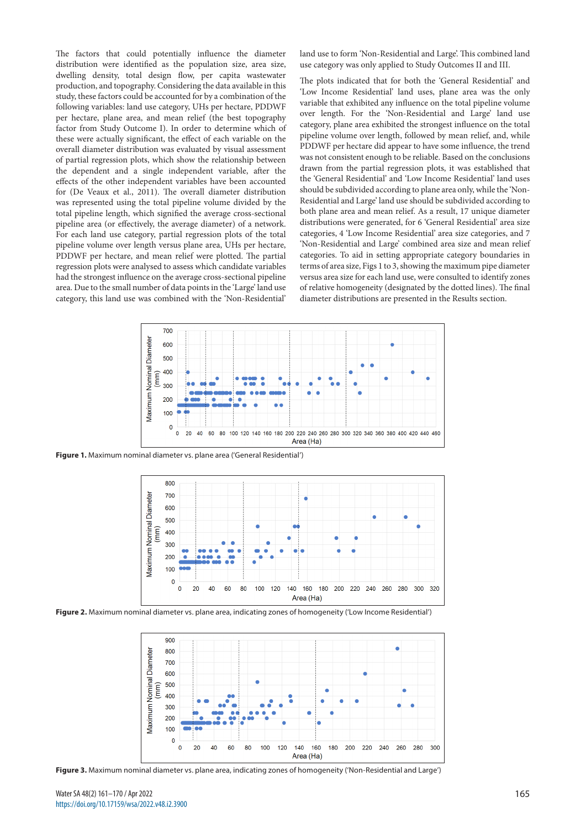The factors that could potentially influence the diameter distribution were identified as the population size, area size, dwelling density, total design flow, per capita wastewater production, and topography. Considering the data available in this study, these factors could be accounted for by a combination of the following variables: land use category, UHs per hectare, PDDWF per hectare, plane area, and mean relief (the best topography factor from Study Outcome I). In order to determine which of these were actually significant, the effect of each variable on the overall diameter distribution was evaluated by visual assessment of partial regression plots, which show the relationship between the dependent and a single independent variable, after the effects of the other independent variables have been accounted for (De Veaux et al., 2011). The overall diameter distribution was represented using the total pipeline volume divided by the total pipeline length, which signified the average cross-sectional pipeline area (or effectively, the average diameter) of a network. For each land use category, partial regression plots of the total pipeline volume over length versus plane area, UHs per hectare, PDDWF per hectare, and mean relief were plotted. The partial regression plots were analysed to assess which candidate variables had the strongest influence on the average cross-sectional pipeline area. Due to the small number of data points in the 'Large' land use category, this land use was combined with the 'Non-Residential'

land use to form 'Non-Residential and Large'. This combined land use category was only applied to Study Outcomes II and III.

The plots indicated that for both the 'General Residential' and 'Low Income Residential' land uses, plane area was the only variable that exhibited any influence on the total pipeline volume over length. For the 'Non-Residential and Large' land use category, plane area exhibited the strongest influence on the total pipeline volume over length, followed by mean relief, and, while PDDWF per hectare did appear to have some influence, the trend was not consistent enough to be reliable. Based on the conclusions drawn from the partial regression plots, it was established that the 'General Residential' and 'Low Income Residential' land uses should be subdivided according to plane area only, while the 'Non-Residential and Large' land use should be subdivided according to both plane area and mean relief. As a result, 17 unique diameter distributions were generated, for 6 'General Residential' area size categories, 4 'Low Income Residential' area size categories, and 7 'Non-Residential and Large' combined area size and mean relief categories. To aid in setting appropriate category boundaries in terms of area size, Figs 1 to 3, showing the maximum pipe diameter versus area size for each land use, were consulted to identify zones of relative homogeneity (designated by the dotted lines). The final diameter distributions are presented in the Results section.



**Figure 1.** Maximum nominal diameter vs. plane area ('General Residential')



**Figure 2.** Maximum nominal diameter vs. plane area, indicating zones of homogeneity ('Low Income Residential')



**Figure 3.** Maximum nominal diameter vs. plane area, indicating zones of homogeneity ('Non-Residential and Large')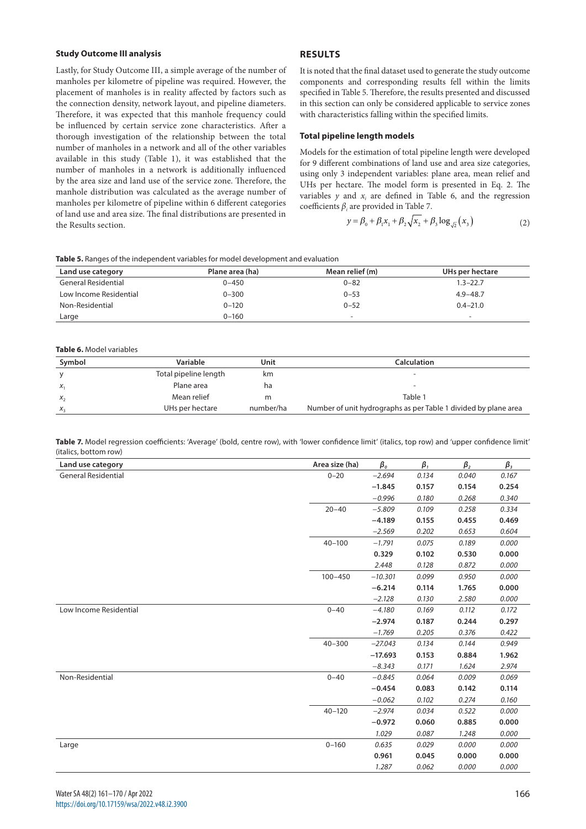#### **Study Outcome III analysis**

Lastly, for Study Outcome III, a simple average of the number of manholes per kilometre of pipeline was required. However, the placement of manholes is in reality affected by factors such as the connection density, network layout, and pipeline diameters. Therefore, it was expected that this manhole frequency could be influenced by certain service zone characteristics. After a thorough investigation of the relationship between the total number of manholes in a network and all of the other variables available in this study (Table 1), it was established that the number of manholes in a network is additionally influenced by the area size and land use of the service zone. Therefore, the manhole distribution was calculated as the average number of manholes per kilometre of pipeline within 6 different categories of land use and area size. The final distributions are presented in the Results section.

## **RESULTS**

It is noted that the final dataset used to generate the study outcome components and corresponding results fell within the limits specified in Table 5. Therefore, the results presented and discussed in this section can only be considered applicable to service zones with characteristics falling within the specified limits.

## **Total pipeline length models**

Models for the estimation of total pipeline length were developed for 9 different combinations of land use and area size categories, using only 3 independent variables: plane area, mean relief and UHs per hectare. The model form is presented in Eq. 2. The variables  $y$  and  $x_i$  are defined in Table 6, and the regression coefficients  $\beta_i$  are provided in Table 7.

$$
y = \beta_0 + \beta_1 x_1 + \beta_2 \sqrt{x_2 + \beta_3 \log_{\sqrt{2}}(x_3)}
$$
 (2)

**Table 5.** Ranges of the independent variables for model development and evaluation

| Land use category          | Plane area (ha) | Mean relief (m)          | UHs per hectare          |
|----------------------------|-----------------|--------------------------|--------------------------|
| <b>General Residential</b> | 0-450           | $0 - 82$                 | $1.3 - 22.7$             |
| Low Income Residential     | $0 - 300$       | $0 - 53$                 | $4.9 - 48.7$             |
| Non-Residential            | $0 - 120$       | $0 - 52$                 | $0.4 - 21.0$             |
| Large                      | $0 - 160$       | $\overline{\phantom{a}}$ | $\overline{\phantom{0}}$ |

## **Table 6.** Model variables

| Symbol  | Variable              | Unit      | <b>Calculation</b>                                              |
|---------|-----------------------|-----------|-----------------------------------------------------------------|
|         | Total pipeline length | km.       | $\overline{\phantom{a}}$                                        |
| $X_1$   | Plane area            | ha        | $\overline{\phantom{a}}$                                        |
| $X_{2}$ | Mean relief           | m         | Table 1                                                         |
| $X_{2}$ | UHs per hectare       | number/ha | Number of unit hydrographs as per Table 1 divided by plane area |

**Table 7.** Model regression coefficients: 'Average' (bold, centre row), with 'lower confidence limit' (italics, top row) and 'upper confidence limit' (italics, bottom row)

| Land use category          | Area size (ha) | $\beta_o$ | $\beta_{1}$ | $\beta_{2}$ | $\beta_{3}$ |
|----------------------------|----------------|-----------|-------------|-------------|-------------|
| <b>General Residential</b> | $0 - 20$       | $-2.694$  | 0.134       | 0.040       | 0.167       |
|                            |                | $-1.845$  | 0.157       | 0.154       | 0.254       |
|                            |                | $-0.996$  | 0.180       | 0.268       | 0.340       |
|                            | $20 - 40$      | $-5.809$  | 0.109       | 0.258       | 0.334       |
|                            |                | $-4.189$  | 0.155       | 0.455       | 0.469       |
|                            |                | $-2.569$  | 0.202       | 0.653       | 0.604       |
|                            | $40 - 100$     | $-1.791$  | 0.075       | 0.189       | 0.000       |
|                            |                | 0.329     | 0.102       | 0.530       | 0.000       |
|                            |                | 2.448     | 0.128       | 0.872       | 0.000       |
|                            | $100 - 450$    | $-10.301$ | 0.099       | 0.950       | 0.000       |
|                            |                | $-6.214$  | 0.114       | 1.765       | 0.000       |
|                            |                | $-2.128$  | 0.130       | 2.580       | 0.000       |
| Low Income Residential     | $0 - 40$       | $-4.180$  | 0.169       | 0.112       | 0.172       |
|                            |                | $-2.974$  | 0.187       | 0.244       | 0.297       |
|                            |                | $-1.769$  | 0.205       | 0.376       | 0.422       |
|                            | $40 - 300$     | $-27.043$ | 0.134       | 0.144       | 0.949       |
|                            |                | $-17.693$ | 0.153       | 0.884       | 1.962       |
|                            |                | $-8.343$  | 0.171       | 1.624       | 2.974       |
| Non-Residential            | $0 - 40$       | $-0.845$  | 0.064       | 0.009       | 0.069       |
|                            |                | $-0.454$  | 0.083       | 0.142       | 0.114       |
|                            |                | $-0.062$  | 0.102       | 0.274       | 0.160       |
|                            | $40 - 120$     | $-2.974$  | 0.034       | 0.522       | 0.000       |
|                            |                | $-0.972$  | 0.060       | 0.885       | 0.000       |
|                            |                | 1.029     | 0.087       | 1.248       | 0.000       |
| Large                      | $0 - 160$      | 0.635     | 0.029       | 0.000       | 0.000       |
|                            |                | 0.961     | 0.045       | 0.000       | 0.000       |
|                            |                | 1.287     | 0.062       | 0.000       | 0.000       |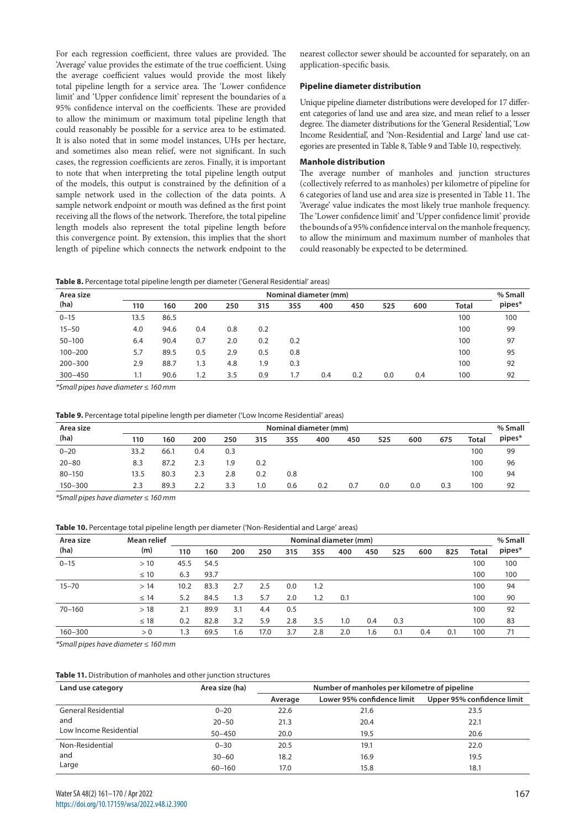For each regression coefficient, three values are provided. The 'Average' value provides the estimate of the true coefficient. Using the average coefficient values would provide the most likely total pipeline length for a service area. The 'Lower confidence limit' and 'Upper confidence limit' represent the boundaries of a 95% confidence interval on the coefficients. These are provided to allow the minimum or maximum total pipeline length that could reasonably be possible for a service area to be estimated. It is also noted that in some model instances, UHs per hectare, and sometimes also mean relief, were not significant. In such cases, the regression coefficients are zeros. Finally, it is important to note that when interpreting the total pipeline length output of the models, this output is constrained by the definition of a sample network used in the collection of the data points. A sample network endpoint or mouth was defined as the first point receiving all the flows of the network. Therefore, the total pipeline length models also represent the total pipeline length before this convergence point. By extension, this implies that the short length of pipeline which connects the network endpoint to the

nearest collector sewer should be accounted for separately, on an application-specific basis.

## **Pipeline diameter distribution**

Unique pipeline diameter distributions were developed for 17 different categories of land use and area size, and mean relief to a lesser degree. The diameter distributions for the 'General Residential', 'Low Income Residential', and 'Non-Residential and Large' land use categories are presented in Table 8, Table 9 and Table 10, respectively.

#### **Manhole distribution**

The average number of manholes and junction structures (collectively referred to as manholes) per kilometre of pipeline for 6 categories of land use and area size is presented in Table 11. The 'Average' value indicates the most likely true manhole frequency. The 'Lower confidence limit' and 'Upper confidence limit' provide the bounds of a 95% confidence interval on the manhole frequency, to allow the minimum and maximum number of manholes that could reasonably be expected to be determined.

**Table 8.** Percentage total pipeline length per diameter ('General Residential' areas)

| Area size   | Nominal diameter (mm) |      |     |     |     |     |     |     | % Small |     |              |        |
|-------------|-----------------------|------|-----|-----|-----|-----|-----|-----|---------|-----|--------------|--------|
| (ha)        | 110                   | 160  | 200 | 250 | 315 | 355 | 400 | 450 | 525     | 600 | <b>Total</b> | pipes* |
| $0 - 15$    | 13.5                  | 86.5 |     |     |     |     |     |     |         |     | 100          | 100    |
| $15 - 50$   | 4.0                   | 94.6 | 0.4 | 0.8 | 0.2 |     |     |     |         |     | 100          | 99     |
| $50 - 100$  | 6.4                   | 90.4 | 0.7 | 2.0 | 0.2 | 0.2 |     |     |         |     | 100          | 97     |
| $100 - 200$ | 5.7                   | 89.5 | 0.5 | 2.9 | 0.5 | 0.8 |     |     |         |     | 100          | 95     |
| $200 - 300$ | 2.9                   | 88.7 | 1.3 | 4.8 | 1.9 | 0.3 |     |     |         |     | 100          | 92     |
| $300 - 450$ | 1.1                   | 90.6 | 1.2 | 3.5 | 0.9 | 1.7 | 0.4 | 0.2 | 0.0     | 0.4 | 100          | 92     |

*\*Small pipes have diameter ≤ 160 mm*

#### **Table 9.** Percentage total pipeline length per diameter ('Low Income Residential' areas)

| Nominal diameter (mm)<br>Area size |      |      |     |     |     |     |     |     |     | % Small |     |       |        |
|------------------------------------|------|------|-----|-----|-----|-----|-----|-----|-----|---------|-----|-------|--------|
| (ha)                               | 110  | 160  | 200 | 250 | 315 | 355 | 400 | 450 | 525 | 600     | 675 | Total | pipes* |
| $0 - 20$                           | 33.2 | 66.1 | 0.4 | 0.3 |     |     |     |     |     |         |     | 100   | 99     |
| $20 - 80$                          | 8.3  | 87.2 | 2.3 | 1.9 | 0.2 |     |     |     |     |         |     | 100   | 96     |
| $80 - 150$                         | 13.5 | 80.3 | 2.3 | 2.8 | 0.2 | 0.8 |     |     |     |         |     | 100   | 94     |
| $150 - 300$                        | 2.3  | 89.3 | 2.2 | 3.3 | 1.0 | 0.6 | 0.2 | 0.7 | 0.0 | 0.0     | 0.3 | 100   | 92     |

*\*Small pipes have diameter ≤ 160 mm*

#### **Table 10.** Percentage total pipeline length per diameter ('Non-Residential and Large' areas)

| Mean relief | Nominal diameter (mm) |      |     |      |     |     |     |     | % Small |     |     |       |        |
|-------------|-----------------------|------|-----|------|-----|-----|-----|-----|---------|-----|-----|-------|--------|
| (m)         | 110                   | 160  | 200 | 250  | 315 | 355 | 400 | 450 | 525     | 600 | 825 | Total | pipes* |
| >10         | 45.5                  | 54.5 |     |      |     |     |     |     |         |     |     | 100   | 100    |
| $\leq 10$   | 6.3                   | 93.7 |     |      |     |     |     |     |         |     |     | 100   | 100    |
| >14         | 10.2                  | 83.3 | 2.7 | 2.5  | 0.0 | 1.2 |     |     |         |     |     | 100   | 94     |
| $\leq 14$   | 5.2                   | 84.5 | 1.3 | 5.7  | 2.0 | 1.2 | 0.1 |     |         |     |     | 100   | 90     |
| >18         | 2.1                   | 89.9 | 3.1 | 4.4  | 0.5 |     |     |     |         |     |     | 100   | 92     |
| $\leq 18$   | 0.2                   | 82.8 | 3.2 | 5.9  | 2.8 | 3.5 | 1.0 | 0.4 | 0.3     |     |     | 100   | 83     |
| > 0         | 1.3                   | 69.5 | 1.6 | 17.0 | 3.7 | 2.8 | 2.0 | 1.6 | 0.1     | 0.4 | 0.1 | 100   | 71     |
|             |                       |      |     |      |     |     |     |     |         |     |     |       |        |

*\*Small pipes have diameter ≤ 160 mm*

#### **Table 11.** Distribution of manholes and other junction structures

| Land use category          | Area size (ha) |         | Number of manholes per kilometre of pipeline |                            |  |  |  |  |
|----------------------------|----------------|---------|----------------------------------------------|----------------------------|--|--|--|--|
|                            |                | Average | Lower 95% confidence limit                   | Upper 95% confidence limit |  |  |  |  |
| <b>General Residential</b> | $0 - 20$       | 22.6    | 21.6                                         | 23.5                       |  |  |  |  |
| and                        | $20 - 50$      | 21.3    | 20.4                                         | 22.1                       |  |  |  |  |
| Low Income Residential     | $50 - 450$     | 20.0    | 19.5                                         | 20.6                       |  |  |  |  |
| Non-Residential            | $0 - 30$       | 20.5    | 19.1                                         | 22.0                       |  |  |  |  |
| and                        | $30 - 60$      | 18.2    | 16.9                                         | 19.5                       |  |  |  |  |
| Large                      | $60 - 160$     | 17.0    | 15.8                                         | 18.1                       |  |  |  |  |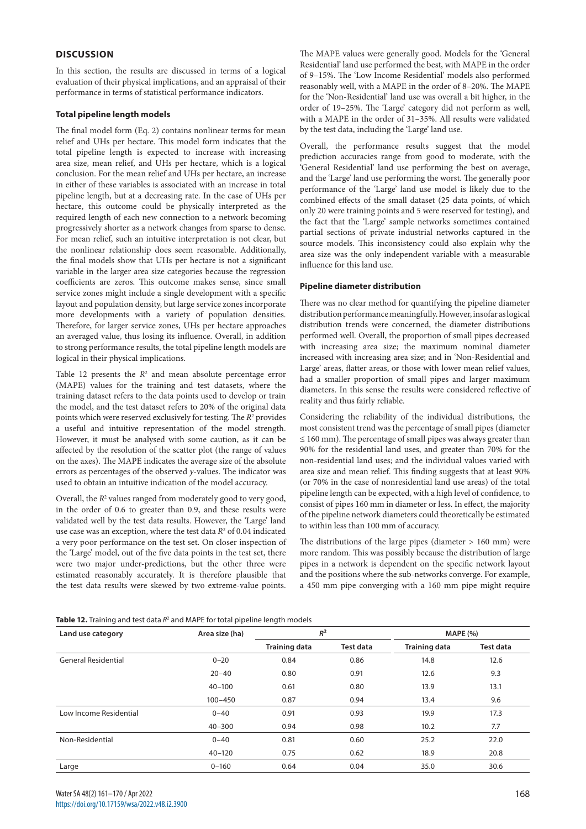# **DISCUSSION**

In this section, the results are discussed in terms of a logical evaluation of their physical implications, and an appraisal of their performance in terms of statistical performance indicators.

## **Total pipeline length models**

The final model form (Eq. 2) contains nonlinear terms for mean relief and UHs per hectare. This model form indicates that the total pipeline length is expected to increase with increasing area size, mean relief, and UHs per hectare, which is a logical conclusion. For the mean relief and UHs per hectare, an increase in either of these variables is associated with an increase in total pipeline length, but at a decreasing rate. In the case of UHs per hectare, this outcome could be physically interpreted as the required length of each new connection to a network becoming progressively shorter as a network changes from sparse to dense. For mean relief, such an intuitive interpretation is not clear, but the nonlinear relationship does seem reasonable. Additionally, the final models show that UHs per hectare is not a significant variable in the larger area size categories because the regression coefficients are zeros. This outcome makes sense, since small service zones might include a single development with a specific layout and population density, but large service zones incorporate more developments with a variety of population densities. Therefore, for larger service zones, UHs per hectare approaches an averaged value, thus losing its influence. Overall, in addition to strong performance results, the total pipeline length models are logical in their physical implications.

Table 12 presents the  $R<sup>2</sup>$  and mean absolute percentage error (MAPE) values for the training and test datasets, where the training dataset refers to the data points used to develop or train the model, and the test dataset refers to 20% of the original data points which were reserved exclusively for testing. The *R*<sup>2</sup> provides a useful and intuitive representation of the model strength. However, it must be analysed with some caution, as it can be affected by the resolution of the scatter plot (the range of values on the axes). The MAPE indicates the average size of the absolute errors as percentages of the observed *y*-values. The indicator was used to obtain an intuitive indication of the model accuracy.

Overall, the  $R^2$  values ranged from moderately good to very good, in the order of 0.6 to greater than 0.9, and these results were validated well by the test data results. However, the 'Large' land use case was an exception, where the test data  $R<sup>2</sup>$  of 0.04 indicated a very poor performance on the test set. On closer inspection of the 'Large' model, out of the five data points in the test set, there were two major under-predictions, but the other three were estimated reasonably accurately. It is therefore plausible that the test data results were skewed by two extreme-value points.

The MAPE values were generally good. Models for the 'General Residential' land use performed the best, with MAPE in the order of 9–15%. The 'Low Income Residential' models also performed reasonably well, with a MAPE in the order of 8–20%. The MAPE for the 'Non-Residential' land use was overall a bit higher, in the order of 19–25%. The 'Large' category did not perform as well, with a MAPE in the order of 31–35%. All results were validated by the test data, including the 'Large' land use.

Overall, the performance results suggest that the model prediction accuracies range from good to moderate, with the 'General Residential' land use performing the best on average, and the 'Large' land use performing the worst. The generally poor performance of the 'Large' land use model is likely due to the combined effects of the small dataset (25 data points, of which only 20 were training points and 5 were reserved for testing), and the fact that the 'Large' sample networks sometimes contained partial sections of private industrial networks captured in the source models. This inconsistency could also explain why the area size was the only independent variable with a measurable influence for this land use.

#### **Pipeline diameter distribution**

There was no clear method for quantifying the pipeline diameter distribution performance meaningfully. However, insofar as logical distribution trends were concerned, the diameter distributions performed well. Overall, the proportion of small pipes decreased with increasing area size; the maximum nominal diameter increased with increasing area size; and in 'Non-Residential and Large' areas, flatter areas, or those with lower mean relief values, had a smaller proportion of small pipes and larger maximum diameters. In this sense the results were considered reflective of reality and thus fairly reliable.

Considering the reliability of the individual distributions, the most consistent trend was the percentage of small pipes (diameter  $\leq 160$  mm). The percentage of small pipes was always greater than 90% for the residential land uses, and greater than 70% for the non-residential land uses; and the individual values varied with area size and mean relief. This finding suggests that at least 90% (or 70% in the case of nonresidential land use areas) of the total pipeline length can be expected, with a high level of confidence, to consist of pipes 160 mm in diameter or less. In effect, the majority of the pipeline network diameters could theoretically be estimated to within less than 100 mm of accuracy.

The distributions of the large pipes (diameter > 160 mm) were more random. This was possibly because the distribution of large pipes in a network is dependent on the specific network layout and the positions where the sub-networks converge. For example, a 450 mm pipe converging with a 160 mm pipe might require

|  |  | Table 12. Training and test data $R^2$ and MAPE for total pipeline length models |
|--|--|----------------------------------------------------------------------------------|
|  |  |                                                                                  |

| Land use category          | Area size (ha) | $R^2$                |                  | <b>MAPE (%)</b>      |                  |
|----------------------------|----------------|----------------------|------------------|----------------------|------------------|
|                            |                | <b>Training data</b> | <b>Test data</b> | <b>Training data</b> | <b>Test data</b> |
| <b>General Residential</b> | $0 - 20$       | 0.84                 | 0.86             | 14.8                 | 12.6             |
|                            | $20 - 40$      | 0.80                 | 0.91             | 12.6                 | 9.3              |
|                            | $40 - 100$     | 0.61                 | 0.80             | 13.9                 | 13.1             |
|                            | $100 - 450$    | 0.87                 | 0.94             | 13.4                 | 9.6              |
| Low Income Residential     | $0 - 40$       | 0.91                 | 0.93             | 19.9                 | 17.3             |
|                            | $40 - 300$     | 0.94                 | 0.98             | 10.2                 | 7.7              |
| Non-Residential            | $0 - 40$       | 0.81                 | 0.60             | 25.2                 | 22.0             |
|                            | $40 - 120$     | 0.75                 | 0.62             | 18.9                 | 20.8             |
| Large                      | $0 - 160$      | 0.64                 | 0.04             | 35.0                 | 30.6             |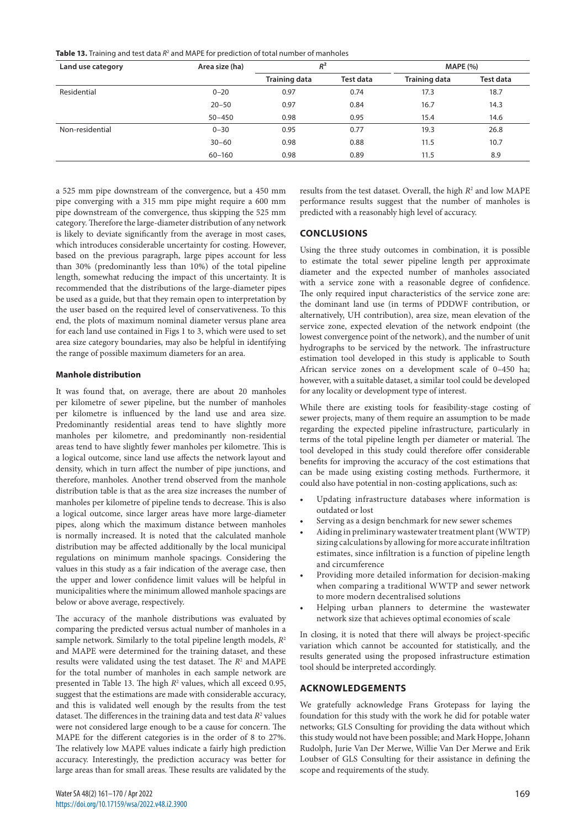**Table 13.** Training and test data  $R^2$  and MAPE for prediction of total number of manholes

| Land use category | Area size (ha) | $R^2$                |           | <b>MAPE (%)</b>      |           |
|-------------------|----------------|----------------------|-----------|----------------------|-----------|
|                   |                | <b>Training data</b> | Test data | <b>Training data</b> | Test data |
| Residential       | $0 - 20$       | 0.97                 | 0.74      | 17.3                 | 18.7      |
|                   | $20 - 50$      | 0.97                 | 0.84      | 16.7                 | 14.3      |
|                   | $50 - 450$     | 0.98                 | 0.95      | 15.4                 | 14.6      |
| Non-residential   | $0 - 30$       | 0.95                 | 0.77      | 19.3                 | 26.8      |
|                   | $30 - 60$      | 0.98                 | 0.88      | 11.5                 | 10.7      |
|                   | $60 - 160$     | 0.98                 | 0.89      | 11.5                 | 8.9       |

a 525 mm pipe downstream of the convergence, but a 450 mm pipe converging with a 315 mm pipe might require a 600 mm pipe downstream of the convergence, thus skipping the 525 mm category. Therefore the large-diameter distribution of any network is likely to deviate significantly from the average in most cases, which introduces considerable uncertainty for costing. However, based on the previous paragraph, large pipes account for less than 30% (predominantly less than 10%) of the total pipeline length, somewhat reducing the impact of this uncertainty. It is recommended that the distributions of the large-diameter pipes be used as a guide, but that they remain open to interpretation by the user based on the required level of conservativeness. To this end, the plots of maximum nominal diameter versus plane area for each land use contained in Figs 1 to 3, which were used to set area size category boundaries, may also be helpful in identifying the range of possible maximum diameters for an area.

#### **Manhole distribution**

It was found that, on average, there are about 20 manholes per kilometre of sewer pipeline, but the number of manholes per kilometre is influenced by the land use and area size. Predominantly residential areas tend to have slightly more manholes per kilometre, and predominantly non-residential areas tend to have slightly fewer manholes per kilometre. This is a logical outcome, since land use affects the network layout and density, which in turn affect the number of pipe junctions, and therefore, manholes. Another trend observed from the manhole distribution table is that as the area size increases the number of manholes per kilometre of pipeline tends to decrease. This is also a logical outcome, since larger areas have more large-diameter pipes, along which the maximum distance between manholes is normally increased. It is noted that the calculated manhole distribution may be affected additionally by the local municipal regulations on minimum manhole spacings. Considering the values in this study as a fair indication of the average case, then the upper and lower confidence limit values will be helpful in municipalities where the minimum allowed manhole spacings are below or above average, respectively.

The accuracy of the manhole distributions was evaluated by comparing the predicted versus actual number of manholes in a sample network. Similarly to the total pipeline length models, *R*<sup>2</sup> and MAPE were determined for the training dataset, and these results were validated using the test dataset. The *R*<sup>2</sup> and MAPE for the total number of manholes in each sample network are presented in Table 13. The high *R*<sup>2</sup> values, which all exceed 0.95, suggest that the estimations are made with considerable accuracy, and this is validated well enough by the results from the test dataset. The differences in the training data and test data  $R^2$  values were not considered large enough to be a cause for concern. The MAPE for the different categories is in the order of 8 to 27%. The relatively low MAPE values indicate a fairly high prediction accuracy. Interestingly, the prediction accuracy was better for large areas than for small areas. These results are validated by the

results from the test dataset. Overall, the high  $R^2$  and low MAPE performance results suggest that the number of manholes is predicted with a reasonably high level of accuracy.

# **CONCLUSIONS**

Using the three study outcomes in combination, it is possible to estimate the total sewer pipeline length per approximate diameter and the expected number of manholes associated with a service zone with a reasonable degree of confidence. The only required input characteristics of the service zone are: the dominant land use (in terms of PDDWF contribution, or alternatively, UH contribution), area size, mean elevation of the service zone, expected elevation of the network endpoint (the lowest convergence point of the network), and the number of unit hydrographs to be serviced by the network. The infrastructure estimation tool developed in this study is applicable to South African service zones on a development scale of 0–450 ha; however, with a suitable dataset, a similar tool could be developed for any locality or development type of interest.

While there are existing tools for feasibility-stage costing of sewer projects, many of them require an assumption to be made regarding the expected pipeline infrastructure, particularly in terms of the total pipeline length per diameter or material. The tool developed in this study could therefore offer considerable benefits for improving the accuracy of the cost estimations that can be made using existing costing methods. Furthermore, it could also have potential in non-costing applications, such as:

- Updating infrastructure databases where information is outdated or lost
- Serving as a design benchmark for new sewer schemes
- Aiding in preliminary wastewater treatment plant (WWTP) sizing calculations by allowing for more accurate infiltration estimates, since infiltration is a function of pipeline length and circumference
- Providing more detailed information for decision-making when comparing a traditional WWTP and sewer network to more modern decentralised solutions
- Helping urban planners to determine the wastewater network size that achieves optimal economies of scale

In closing, it is noted that there will always be project-specific variation which cannot be accounted for statistically, and the results generated using the proposed infrastructure estimation tool should be interpreted accordingly.

# **ACKNOWLEDGEMENTS**

We gratefully acknowledge Frans Grotepass for laying the foundation for this study with the work he did for potable water networks; GLS Consulting for providing the data without which this study would not have been possible; and Mark Hoppe, Johann Rudolph, Jurie Van Der Merwe, Willie Van Der Merwe and Erik Loubser of GLS Consulting for their assistance in defining the scope and requirements of the study.